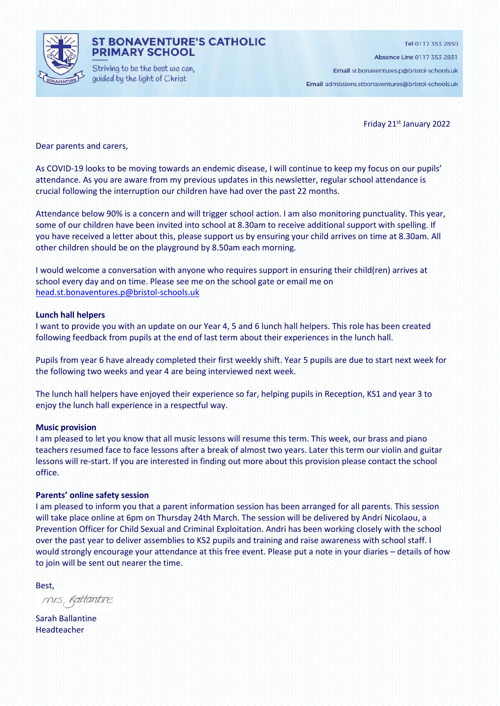

#### **ST BONAVENTURE'S CATHOLIC PRIMARY SCHOOL**

Striving to be the best we can, guided by the light of Christ

Tel 0117 353 2830

Absence Line 0117 353 2831

Email st.bonaventures.p@bristol-schools.uk

Email admissions.stbonaventures@bristol-schools.uk

Friday 21st January 2022

Dear parents and carers,

As COVID-19 looks to be moving towards an endemic disease, I will continue to keep my focus on our pupils' attendance. As you are aware from my previous updates in this newsletter, regular school attendance is crucial following the interruption our children have had over the past 22 months.

Attendance below 90% is a concern and will trigger school action. I am also monitoring punctuality. This year, some of our children have been invited into school at 8.30am to receive additional support with spelling. If you have received a letter about this, please support us by ensuring your child arrives on time at 8.30am. All other children should be on the playground by 8.50am each morning.

I would welcome a conversation with anyone who requires support in ensuring their child(ren) arrives at school every day and on time. Please see me on the school gate or email me on [head.st.bonaventures.p@bristol-schools.uk](mailto:head.st.bonaventures.p@bristol-schools.uk)

#### **Lunch hall helpers**

I want to provide you with an update on our Year 4, 5 and 6 lunch hall helpers. This role has been created following feedback from pupils at the end of last term about their experiences in the lunch hall.

Pupils from year 6 have already completed their first weekly shift. Year 5 pupils are due to start next week for the following two weeks and year 4 are being interviewed next week.

The lunch hall helpers have enjoyed their experience so far, helping pupils in Reception, KS1 and year 3 to enjoy the lunch hall experience in a respectful way.

#### **Music provision**

I am pleased to let you know that all music lessons will resume this term. This week, our brass and piano teachers resumed face to face lessons after a break of almost two years. Later this term our violin and guitar lessons will re-start. If you are interested in finding out more about this provision please contact the school office.

#### **Parents' online safety session**

I am pleased to inform you that a parent information session has been arranged for all parents. This session will take place online at 6pm on Thursday 24th March. The session will be delivered by Andri Nicolaou, a Prevention Officer for Child Sexual and Criminal Exploitation. Andri has been working closely with the school over the past year to deliver assemblies to KS2 pupils and training and raise awareness with school staff. I would strongly encourage your attendance at this free event. Please put a note in your diaries – details of how to join will be sent out nearer the time.

Best,

mis, Rattantire

Sarah Ballantine Headteacher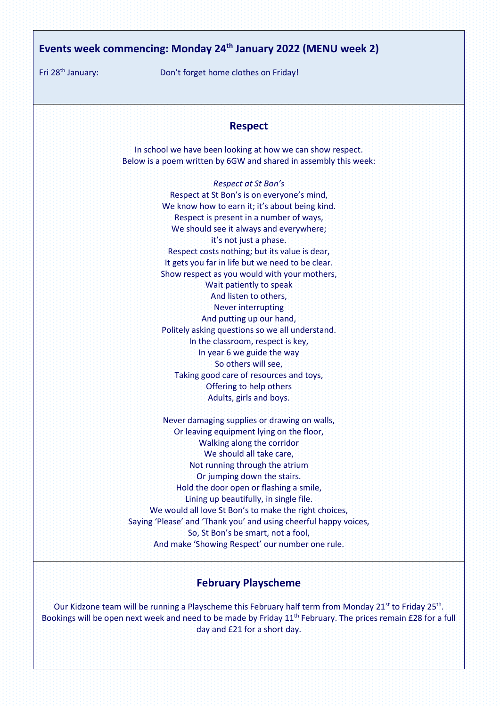# **Events week commencing: Monday 24th January 2022 (MENU week 2)**

Fri 28th January: Don't forget home clothes on Friday!

#### **Respect**

In school we have been looking at how we can show respect. Below is a poem written by 6GW and shared in assembly this week:

> *Respect at St Bon's* Respect at St Bon's is on everyone's mind, We know how to earn it; it's about being kind. Respect is present in a number of ways, We should see it always and everywhere; it's not just a phase. Respect costs nothing; but its value is dear, It gets you far in life but we need to be clear. Show respect as you would with your mothers, Wait patiently to speak And listen to others, Never interrupting And putting up our hand, Politely asking questions so we all understand. In the classroom, respect is key, In year 6 we guide the way So others will see, Taking good care of resources and toys, Offering to help others Adults, girls and boys.

Never damaging supplies or drawing on walls, Or leaving equipment lying on the floor, Walking along the corridor We should all take care, Not running through the atrium Or jumping down the stairs. Hold the door open or flashing a smile, Lining up beautifully, in single file. We would all love St Bon's to make the right choices. Saying 'Please' and 'Thank you' and using cheerful happy voices, So, St Bon's be smart, not a fool, And make 'Showing Respect' our number one rule.

#### **February Playscheme**

Our Kidzone team will be running a Playscheme this February half term from Monday 21<sup>st</sup> to Friday 25<sup>th</sup>. Bookings will be open next week and need to be made by Friday 11<sup>th</sup> February. The prices remain £28 for a full day and £21 for a short day.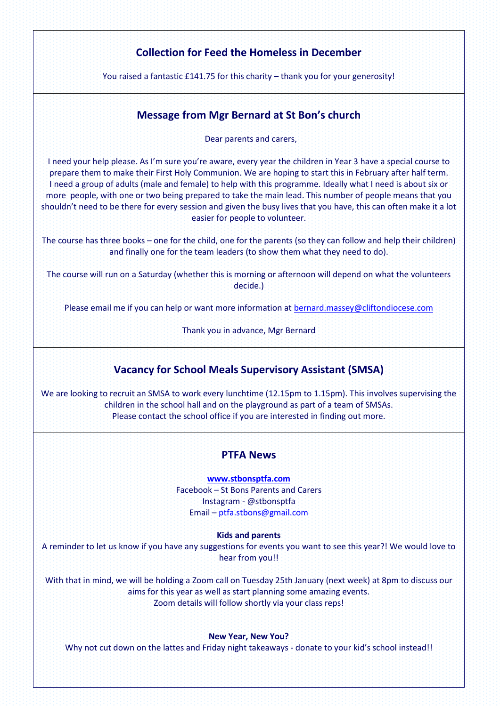# **Collection for Feed the Homeless in December**

You raised a fantastic £141.75 for this charity – thank you for your generosity!

#### **Message from Mgr Bernard at St Bon's church**

Dear parents and carers,

I need your help please. As I'm sure you're aware, every year the children in Year 3 have a special course to prepare them to make their First Holy Communion. We are hoping to start this in February after half term. I need a group of adults (male and female) to help with this programme. Ideally what I need is about six or more people, with one or two being prepared to take the main lead. This number of people means that you shouldn't need to be there for every session and given the busy lives that you have, this can often make it a lot easier for people to volunteer.

The course has three books – one for the child, one for the parents (so they can follow and help their children) and finally one for the team leaders (to show them what they need to do).

The course will run on a Saturday (whether this is morning or afternoon will depend on what the volunteers decide.)

Please email me if you can help or want more information at [bernard.massey@cliftondiocese.com](mailto:bernard.massey@cliftondiocese.com)

Thank you in advance, Mgr Bernard

## **Vacancy for School Meals Supervisory Assistant (SMSA)**

We are looking to recruit an SMSA to work every lunchtime (12.15pm to 1.15pm). This involves supervising the children in the school hall and on the playground as part of a team of SMSAs. Please contact the school office if you are interested in finding out more.

#### **PTFA News**

**[www.stbonsptfa.com](file:///C:/Users/sophi/Documents/Personal/PTFA/www.stbonsptfa.com)** Facebook – St Bons Parents and Carers Instagram - @stbonsptfa Email – [ptfa.stbons@gmail.com](mailto:ptfa.stbons@gmail.com)

**Kids and parents**

A reminder to let us know if you have any suggestions for events you want to see this year?! We would love to hear from you!!

With that in mind, we will be holding a Zoom call on Tuesday 25th January (next week) at 8pm to discuss our aims for this year as well as start planning some amazing events. Zoom details will follow shortly via your class reps!

#### **New Year, New You?**

Why not cut down on the lattes and Friday night takeaways - donate to your kid's school instead!!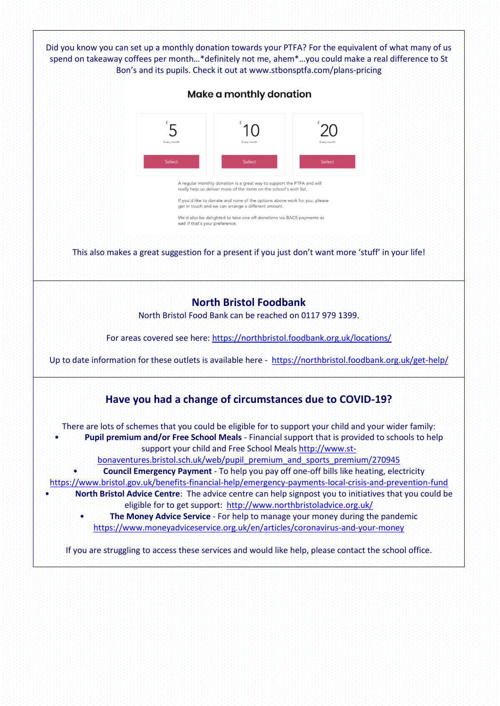